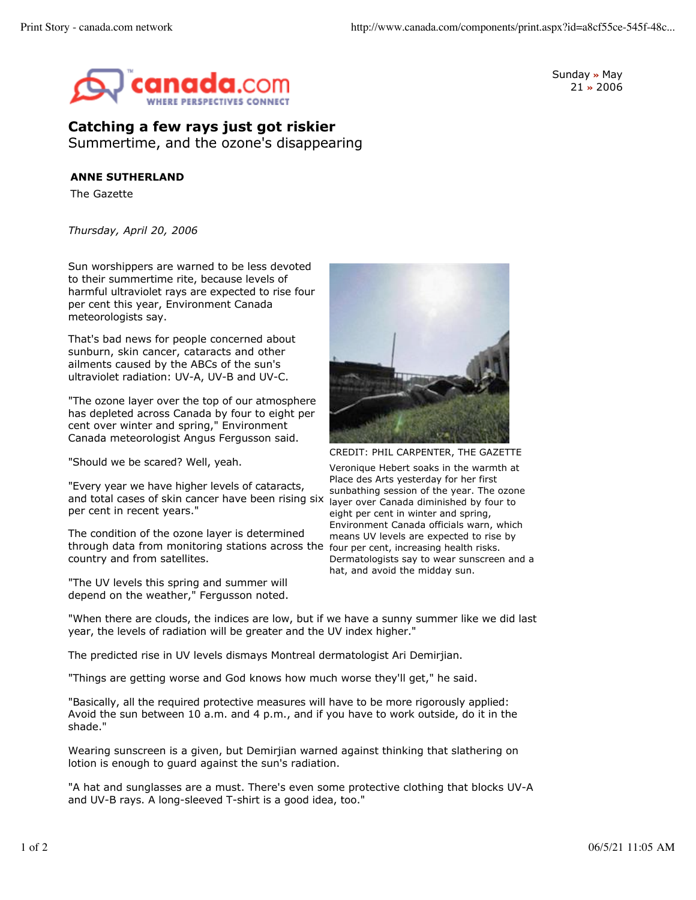

Sunday **»** May 21 **»** 2006

## **Catching a few rays just got riskier** Summertime, and the ozone's disappearing

## **ANNE SUTHERLAND**

The Gazette

*Thursday, April 20, 2006*

Sun worshippers are warned to be less devoted to their summertime rite, because levels of harmful ultraviolet rays are expected to rise four per cent this year, Environment Canada meteorologists say.

That's bad news for people concerned about sunburn, skin cancer, cataracts and other ailments caused by the ABCs of the sun's ultraviolet radiation: UV-A, UV-B and UV-C.

"The ozone layer over the top of our atmosphere has depleted across Canada by four to eight per cent over winter and spring," Environment Canada meteorologist Angus Fergusson said.

"Should we be scared? Well, yeah.

"Every year we have higher levels of cataracts, and total cases of skin cancer have been rising six per cent in recent years."

through data from monitoring stations across the four per cent, increasing health risks. The condition of the ozone layer is determined country and from satellites.

"The UV levels this spring and summer will depend on the weather," Fergusson noted.



CREDIT: PHIL CARPENTER, THE GAZETTE

Veronique Hebert soaks in the warmth at Place des Arts yesterday for her first sunbathing session of the year. The ozone layer over Canada diminished by four to eight per cent in winter and spring, Environment Canada officials warn, which means UV levels are expected to rise by Dermatologists say to wear sunscreen and a hat, and avoid the midday sun.

"When there are clouds, the indices are low, but if we have a sunny summer like we did last year, the levels of radiation will be greater and the UV index higher."

The predicted rise in UV levels dismays Montreal dermatologist Ari Demirjian.

"Things are getting worse and God knows how much worse they'll get," he said.

"Basically, all the required protective measures will have to be more rigorously applied: Avoid the sun between 10 a.m. and 4 p.m., and if you have to work outside, do it in the shade."

Wearing sunscreen is a given, but Demirjian warned against thinking that slathering on lotion is enough to guard against the sun's radiation.

"A hat and sunglasses are a must. There's even some protective clothing that blocks UV-A and UV-B rays. A long-sleeved T-shirt is a good idea, too."